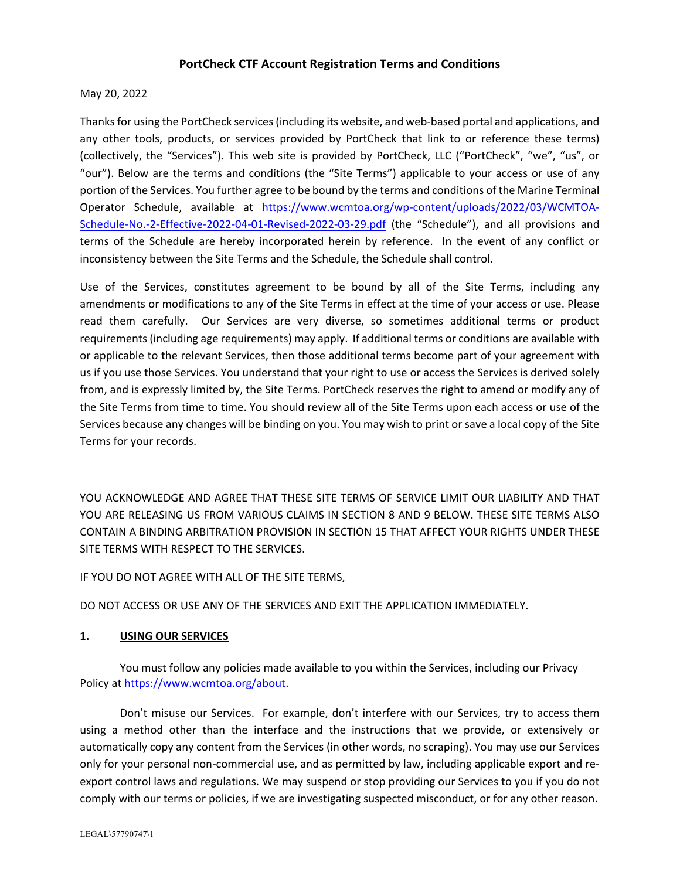## **PortCheck CTF Account Registration Terms and Conditions**

### May 20, 2022

Thanks for using the PortCheck services (including its website, and web-based portal and applications, and any other tools, products, or services provided by PortCheck that link to or reference these terms) (collectively, the "Services"). This web site is provided by PortCheck, LLC ("PortCheck", "we", "us", or "our"). Below are the terms and conditions (the "Site Terms") applicable to your access or use of any portion of the Services. You further agree to be bound by the terms and conditions of the Marine Terminal Operator Schedule, available at https://www.wcmtoa.org/wp‐content/uploads/2022/03/WCMTOA‐ Schedule‐No.‐2‐Effective‐2022‐04‐01‐Revised‐2022‐03‐29.pdf (the "Schedule"), and all provisions and terms of the Schedule are hereby incorporated herein by reference. In the event of any conflict or inconsistency between the Site Terms and the Schedule, the Schedule shall control.

Use of the Services, constitutes agreement to be bound by all of the Site Terms, including any amendments or modifications to any of the Site Terms in effect at the time of your access or use. Please read them carefully. Our Services are very diverse, so sometimes additional terms or product requirements (including age requirements) may apply. If additional terms or conditions are available with or applicable to the relevant Services, then those additional terms become part of your agreement with us if you use those Services. You understand that your right to use or access the Services is derived solely from, and is expressly limited by, the Site Terms. PortCheck reserves the right to amend or modify any of the Site Terms from time to time. You should review all of the Site Terms upon each access or use of the Services because any changes will be binding on you. You may wish to print or save a local copy of the Site Terms for your records.

YOU ACKNOWLEDGE AND AGREE THAT THESE SITE TERMS OF SERVICE LIMIT OUR LIABILITY AND THAT YOU ARE RELEASING US FROM VARIOUS CLAIMS IN SECTION 8 AND 9 BELOW. THESE SITE TERMS ALSO CONTAIN A BINDING ARBITRATION PROVISION IN SECTION 15 THAT AFFECT YOUR RIGHTS UNDER THESE SITE TERMS WITH RESPECT TO THE SERVICES.

IF YOU DO NOT AGREE WITH ALL OF THE SITE TERMS,

DO NOT ACCESS OR USE ANY OF THE SERVICES AND EXIT THE APPLICATION IMMEDIATELY.

#### **1. USING OUR SERVICES**

You must follow any policies made available to you within the Services, including our Privacy Policy at https://www.wcmtoa.org/about.

Don't misuse our Services. For example, don't interfere with our Services, try to access them using a method other than the interface and the instructions that we provide, or extensively or automatically copy any content from the Services (in other words, no scraping). You may use our Services only for your personal non‐commercial use, and as permitted by law, including applicable export and re‐ export control laws and regulations. We may suspend or stop providing our Services to you if you do not comply with our terms or policies, if we are investigating suspected misconduct, or for any other reason.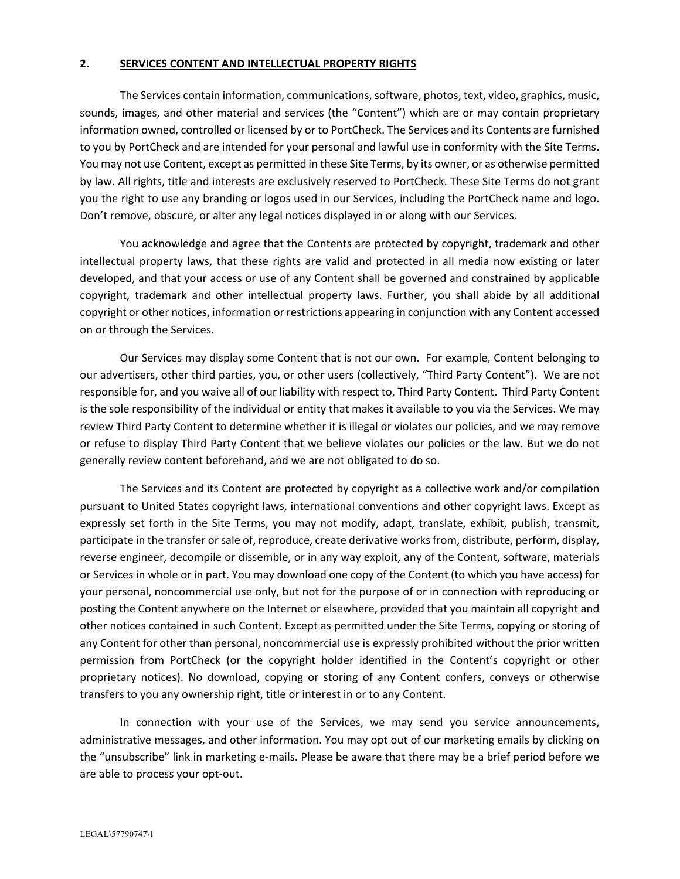#### **2. SERVICES CONTENT AND INTELLECTUAL PROPERTY RIGHTS**

The Services contain information, communications, software, photos, text, video, graphics, music, sounds, images, and other material and services (the "Content") which are or may contain proprietary information owned, controlled or licensed by or to PortCheck. The Services and its Contents are furnished to you by PortCheck and are intended for your personal and lawful use in conformity with the Site Terms. You may not use Content, except as permitted in these Site Terms, by its owner, or as otherwise permitted by law. All rights, title and interests are exclusively reserved to PortCheck. These Site Terms do not grant you the right to use any branding or logos used in our Services, including the PortCheck name and logo. Don't remove, obscure, or alter any legal notices displayed in or along with our Services.

You acknowledge and agree that the Contents are protected by copyright, trademark and other intellectual property laws, that these rights are valid and protected in all media now existing or later developed, and that your access or use of any Content shall be governed and constrained by applicable copyright, trademark and other intellectual property laws. Further, you shall abide by all additional copyright or other notices, information or restrictions appearing in conjunction with any Content accessed on or through the Services.

Our Services may display some Content that is not our own. For example, Content belonging to our advertisers, other third parties, you, or other users (collectively, "Third Party Content"). We are not responsible for, and you waive all of our liability with respect to, Third Party Content. Third Party Content is the sole responsibility of the individual or entity that makes it available to you via the Services. We may review Third Party Content to determine whether it is illegal or violates our policies, and we may remove or refuse to display Third Party Content that we believe violates our policies or the law. But we do not generally review content beforehand, and we are not obligated to do so.

The Services and its Content are protected by copyright as a collective work and/or compilation pursuant to United States copyright laws, international conventions and other copyright laws. Except as expressly set forth in the Site Terms, you may not modify, adapt, translate, exhibit, publish, transmit, participate in the transfer orsale of, reproduce, create derivative worksfrom, distribute, perform, display, reverse engineer, decompile or dissemble, or in any way exploit, any of the Content, software, materials or Services in whole or in part. You may download one copy of the Content (to which you have access) for your personal, noncommercial use only, but not for the purpose of or in connection with reproducing or posting the Content anywhere on the Internet or elsewhere, provided that you maintain all copyright and other notices contained in such Content. Except as permitted under the Site Terms, copying or storing of any Content for other than personal, noncommercial use is expressly prohibited without the prior written permission from PortCheck (or the copyright holder identified in the Content's copyright or other proprietary notices). No download, copying or storing of any Content confers, conveys or otherwise transfers to you any ownership right, title or interest in or to any Content.

In connection with your use of the Services, we may send you service announcements, administrative messages, and other information. You may opt out of our marketing emails by clicking on the "unsubscribe" link in marketing e-mails. Please be aware that there may be a brief period before we are able to process your opt‐out.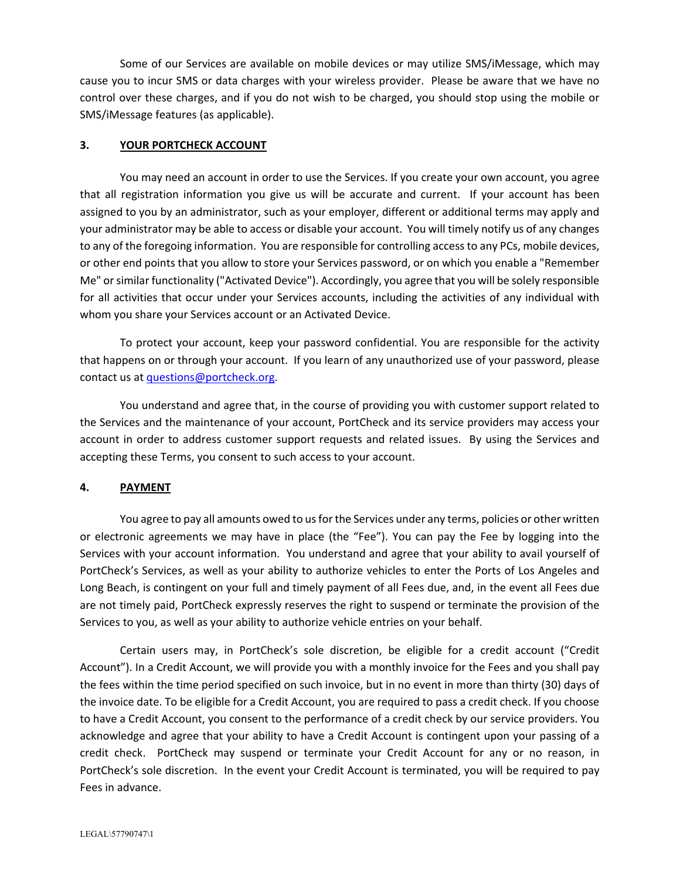Some of our Services are available on mobile devices or may utilize SMS/iMessage, which may cause you to incur SMS or data charges with your wireless provider. Please be aware that we have no control over these charges, and if you do not wish to be charged, you should stop using the mobile or SMS/iMessage features (as applicable).

### **3. YOUR PORTCHECK ACCOUNT**

You may need an account in order to use the Services. If you create your own account, you agree that all registration information you give us will be accurate and current. If your account has been assigned to you by an administrator, such as your employer, different or additional terms may apply and your administrator may be able to access or disable your account. You will timely notify us of any changes to any of the foregoing information. You are responsible for controlling accessto any PCs, mobile devices, or other end points that you allow to store your Services password, or on which you enable a "Remember Me" orsimilar functionality ("Activated Device"). Accordingly, you agree that you will be solely responsible for all activities that occur under your Services accounts, including the activities of any individual with whom you share your Services account or an Activated Device.

To protect your account, keep your password confidential. You are responsible for the activity that happens on or through your account. If you learn of any unauthorized use of your password, please contact us at questions@portcheck.org.

You understand and agree that, in the course of providing you with customer support related to the Services and the maintenance of your account, PortCheck and its service providers may access your account in order to address customer support requests and related issues. By using the Services and accepting these Terms, you consent to such access to your account.

### **4. PAYMENT**

You agree to pay all amounts owed to us for the Services under any terms, policies or other written or electronic agreements we may have in place (the "Fee"). You can pay the Fee by logging into the Services with your account information. You understand and agree that your ability to avail yourself of PortCheck's Services, as well as your ability to authorize vehicles to enter the Ports of Los Angeles and Long Beach, is contingent on your full and timely payment of all Fees due, and, in the event all Fees due are not timely paid, PortCheck expressly reserves the right to suspend or terminate the provision of the Services to you, as well as your ability to authorize vehicle entries on your behalf.

Certain users may, in PortCheck's sole discretion, be eligible for a credit account ("Credit Account"). In a Credit Account, we will provide you with a monthly invoice for the Fees and you shall pay the fees within the time period specified on such invoice, but in no event in more than thirty (30) days of the invoice date. To be eligible for a Credit Account, you are required to pass a credit check. If you choose to have a Credit Account, you consent to the performance of a credit check by our service providers. You acknowledge and agree that your ability to have a Credit Account is contingent upon your passing of a credit check. PortCheck may suspend or terminate your Credit Account for any or no reason, in PortCheck's sole discretion. In the event your Credit Account is terminated, you will be required to pay Fees in advance.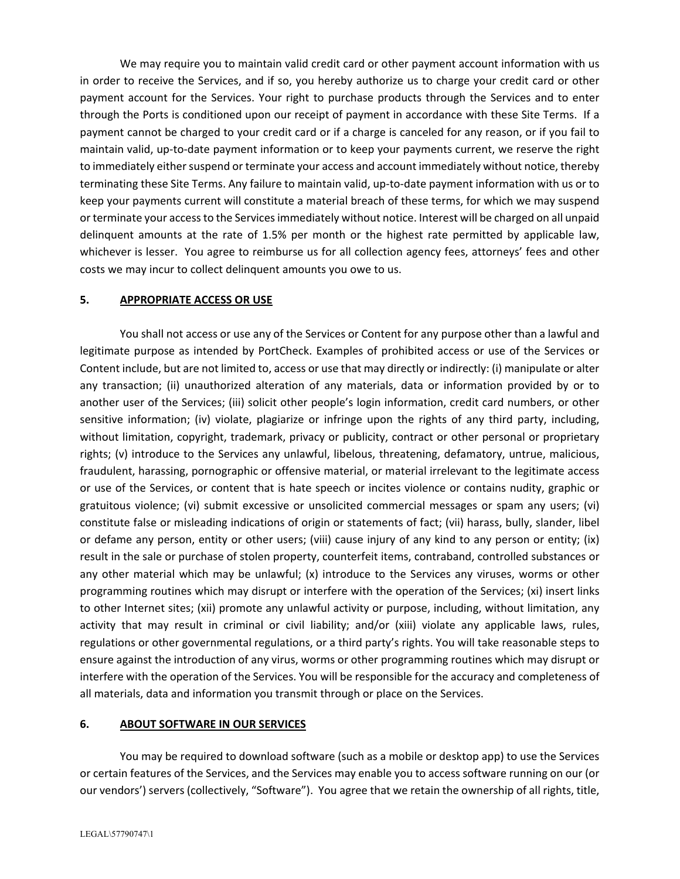We may require you to maintain valid credit card or other payment account information with us in order to receive the Services, and if so, you hereby authorize us to charge your credit card or other payment account for the Services. Your right to purchase products through the Services and to enter through the Ports is conditioned upon our receipt of payment in accordance with these Site Terms. If a payment cannot be charged to your credit card or if a charge is canceled for any reason, or if you fail to maintain valid, up‐to‐date payment information or to keep your payments current, we reserve the right to immediately either suspend or terminate your access and account immediately without notice, thereby terminating these Site Terms. Any failure to maintain valid, up-to-date payment information with us or to keep your payments current will constitute a material breach of these terms, for which we may suspend or terminate your accessto the Servicesimmediately without notice. Interest will be charged on all unpaid delinquent amounts at the rate of 1.5% per month or the highest rate permitted by applicable law, whichever is lesser. You agree to reimburse us for all collection agency fees, attorneys' fees and other costs we may incur to collect delinquent amounts you owe to us.

### **5. APPROPRIATE ACCESS OR USE**

You shall not access or use any of the Services or Content for any purpose other than a lawful and legitimate purpose as intended by PortCheck. Examples of prohibited access or use of the Services or Content include, but are not limited to, access or use that may directly or indirectly: (i) manipulate or alter any transaction; (ii) unauthorized alteration of any materials, data or information provided by or to another user of the Services; (iii) solicit other people's login information, credit card numbers, or other sensitive information; (iv) violate, plagiarize or infringe upon the rights of any third party, including, without limitation, copyright, trademark, privacy or publicity, contract or other personal or proprietary rights; (v) introduce to the Services any unlawful, libelous, threatening, defamatory, untrue, malicious, fraudulent, harassing, pornographic or offensive material, or material irrelevant to the legitimate access or use of the Services, or content that is hate speech or incites violence or contains nudity, graphic or gratuitous violence; (vi) submit excessive or unsolicited commercial messages or spam any users; (vi) constitute false or misleading indications of origin or statements of fact; (vii) harass, bully, slander, libel or defame any person, entity or other users; (viii) cause injury of any kind to any person or entity; (ix) result in the sale or purchase of stolen property, counterfeit items, contraband, controlled substances or any other material which may be unlawful; (x) introduce to the Services any viruses, worms or other programming routines which may disrupt or interfere with the operation of the Services; (xi) insert links to other Internet sites; (xii) promote any unlawful activity or purpose, including, without limitation, any activity that may result in criminal or civil liability; and/or (xiii) violate any applicable laws, rules, regulations or other governmental regulations, or a third party's rights. You will take reasonable steps to ensure against the introduction of any virus, worms or other programming routines which may disrupt or interfere with the operation of the Services. You will be responsible for the accuracy and completeness of all materials, data and information you transmit through or place on the Services.

### **6. ABOUT SOFTWARE IN OUR SERVICES**

You may be required to download software (such as a mobile or desktop app) to use the Services or certain features of the Services, and the Services may enable you to access software running on our (or our vendors') servers (collectively, "Software"). You agree that we retain the ownership of all rights, title,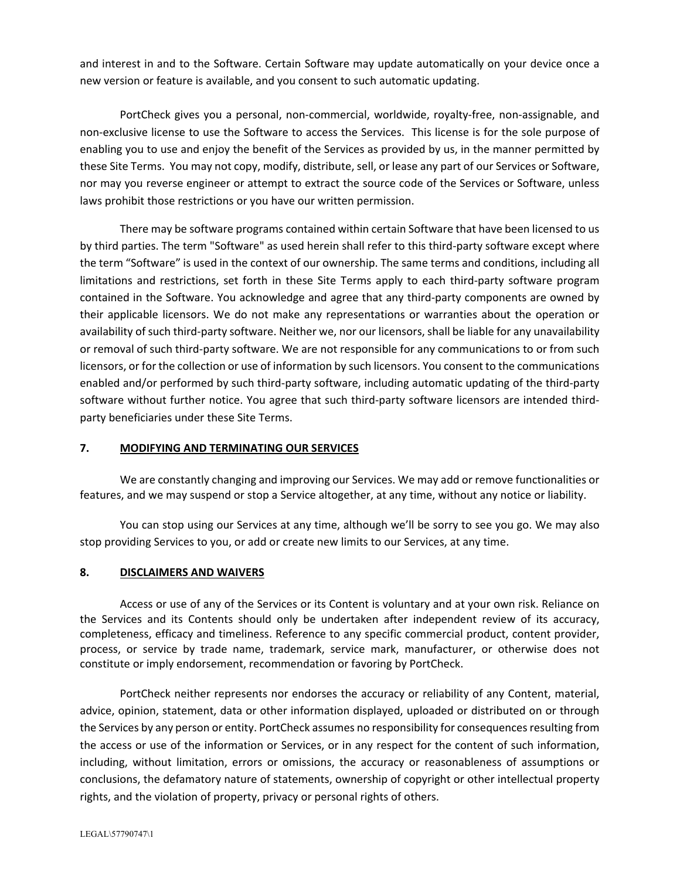and interest in and to the Software. Certain Software may update automatically on your device once a new version or feature is available, and you consent to such automatic updating.

PortCheck gives you a personal, non‐commercial, worldwide, royalty‐free, non‐assignable, and non‐exclusive license to use the Software to access the Services. This license is for the sole purpose of enabling you to use and enjoy the benefit of the Services as provided by us, in the manner permitted by these Site Terms. You may not copy, modify, distribute, sell, or lease any part of our Services or Software, nor may you reverse engineer or attempt to extract the source code of the Services or Software, unless laws prohibit those restrictions or you have our written permission.

There may be software programs contained within certain Software that have been licensed to us by third parties. The term "Software" as used herein shall refer to this third-party software except where the term "Software" is used in the context of our ownership. The same terms and conditions, including all limitations and restrictions, set forth in these Site Terms apply to each third-party software program contained in the Software. You acknowledge and agree that any third‐party components are owned by their applicable licensors. We do not make any representations or warranties about the operation or availability of such third‐party software. Neither we, nor our licensors, shall be liable for any unavailability or removal of such third‐party software. We are not responsible for any communications to or from such licensors, or for the collection or use of information by such licensors. You consent to the communications enabled and/or performed by such third-party software, including automatic updating of the third-party software without further notice. You agree that such third‐party software licensors are intended third‐ party beneficiaries under these Site Terms.

### **7. MODIFYING AND TERMINATING OUR SERVICES**

We are constantly changing and improving our Services. We may add or remove functionalities or features, and we may suspend or stop a Service altogether, at any time, without any notice or liability.

You can stop using our Services at any time, although we'll be sorry to see you go. We may also stop providing Services to you, or add or create new limits to our Services, at any time.

### **8. DISCLAIMERS AND WAIVERS**

Access or use of any of the Services or its Content is voluntary and at your own risk. Reliance on the Services and its Contents should only be undertaken after independent review of its accuracy, completeness, efficacy and timeliness. Reference to any specific commercial product, content provider, process, or service by trade name, trademark, service mark, manufacturer, or otherwise does not constitute or imply endorsement, recommendation or favoring by PortCheck.

PortCheck neither represents nor endorses the accuracy or reliability of any Content, material, advice, opinion, statement, data or other information displayed, uploaded or distributed on or through the Services by any person or entity. PortCheck assumes no responsibility for consequences resulting from the access or use of the information or Services, or in any respect for the content of such information, including, without limitation, errors or omissions, the accuracy or reasonableness of assumptions or conclusions, the defamatory nature of statements, ownership of copyright or other intellectual property rights, and the violation of property, privacy or personal rights of others.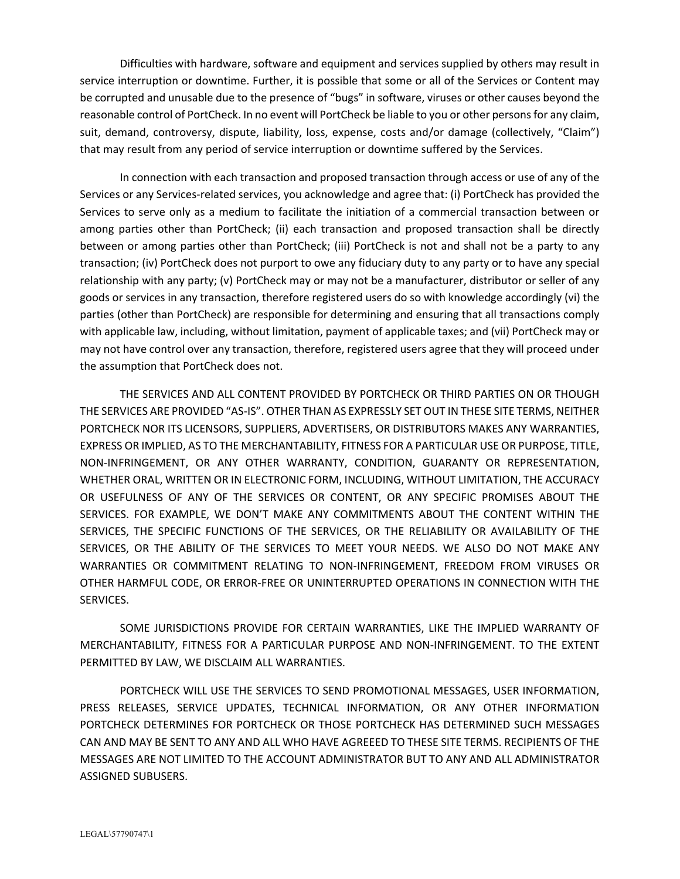Difficulties with hardware, software and equipment and services supplied by others may result in service interruption or downtime. Further, it is possible that some or all of the Services or Content may be corrupted and unusable due to the presence of "bugs" in software, viruses or other causes beyond the reasonable control of PortCheck. In no event will PortCheck be liable to you or other personsfor any claim, suit, demand, controversy, dispute, liability, loss, expense, costs and/or damage (collectively, "Claim") that may result from any period of service interruption or downtime suffered by the Services.

In connection with each transaction and proposed transaction through access or use of any of the Services or any Services-related services, you acknowledge and agree that: (i) PortCheck has provided the Services to serve only as a medium to facilitate the initiation of a commercial transaction between or among parties other than PortCheck; (ii) each transaction and proposed transaction shall be directly between or among parties other than PortCheck; (iii) PortCheck is not and shall not be a party to any transaction; (iv) PortCheck does not purport to owe any fiduciary duty to any party or to have any special relationship with any party; (v) PortCheck may or may not be a manufacturer, distributor or seller of any goods or services in any transaction, therefore registered users do so with knowledge accordingly (vi) the parties (other than PortCheck) are responsible for determining and ensuring that all transactions comply with applicable law, including, without limitation, payment of applicable taxes; and (vii) PortCheck may or may not have control over any transaction, therefore, registered users agree that they will proceed under the assumption that PortCheck does not.

THE SERVICES AND ALL CONTENT PROVIDED BY PORTCHECK OR THIRD PARTIES ON OR THOUGH THE SERVICES ARE PROVIDED "AS‐IS". OTHER THAN AS EXPRESSLY SET OUT IN THESE SITE TERMS, NEITHER PORTCHECK NOR ITS LICENSORS, SUPPLIERS, ADVERTISERS, OR DISTRIBUTORS MAKES ANY WARRANTIES, EXPRESS OR IMPLIED, AS TO THE MERCHANTABILITY, FITNESS FOR A PARTICULAR USE OR PURPOSE, TITLE, NON‐INFRINGEMENT, OR ANY OTHER WARRANTY, CONDITION, GUARANTY OR REPRESENTATION, WHETHER ORAL, WRITTEN OR IN ELECTRONIC FORM, INCLUDING, WITHOUT LIMITATION, THE ACCURACY OR USEFULNESS OF ANY OF THE SERVICES OR CONTENT, OR ANY SPECIFIC PROMISES ABOUT THE SERVICES. FOR EXAMPLE, WE DON'T MAKE ANY COMMITMENTS ABOUT THE CONTENT WITHIN THE SERVICES, THE SPECIFIC FUNCTIONS OF THE SERVICES, OR THE RELIABILITY OR AVAILABILITY OF THE SERVICES, OR THE ABILITY OF THE SERVICES TO MEET YOUR NEEDS. WE ALSO DO NOT MAKE ANY WARRANTIES OR COMMITMENT RELATING TO NON‐INFRINGEMENT, FREEDOM FROM VIRUSES OR OTHER HARMFUL CODE, OR ERROR‐FREE OR UNINTERRUPTED OPERATIONS IN CONNECTION WITH THE SERVICES.

SOME JURISDICTIONS PROVIDE FOR CERTAIN WARRANTIES, LIKE THE IMPLIED WARRANTY OF MERCHANTABILITY, FITNESS FOR A PARTICULAR PURPOSE AND NON‐INFRINGEMENT. TO THE EXTENT PERMITTED BY LAW, WE DISCLAIM ALL WARRANTIES.

PORTCHECK WILL USE THE SERVICES TO SEND PROMOTIONAL MESSAGES, USER INFORMATION, PRESS RELEASES, SERVICE UPDATES, TECHNICAL INFORMATION, OR ANY OTHER INFORMATION PORTCHECK DETERMINES FOR PORTCHECK OR THOSE PORTCHECK HAS DETERMINED SUCH MESSAGES CAN AND MAY BE SENT TO ANY AND ALL WHO HAVE AGREEED TO THESE SITE TERMS. RECIPIENTS OF THE MESSAGES ARE NOT LIMITED TO THE ACCOUNT ADMINISTRATOR BUT TO ANY AND ALL ADMINISTRATOR ASSIGNED SUBUSERS.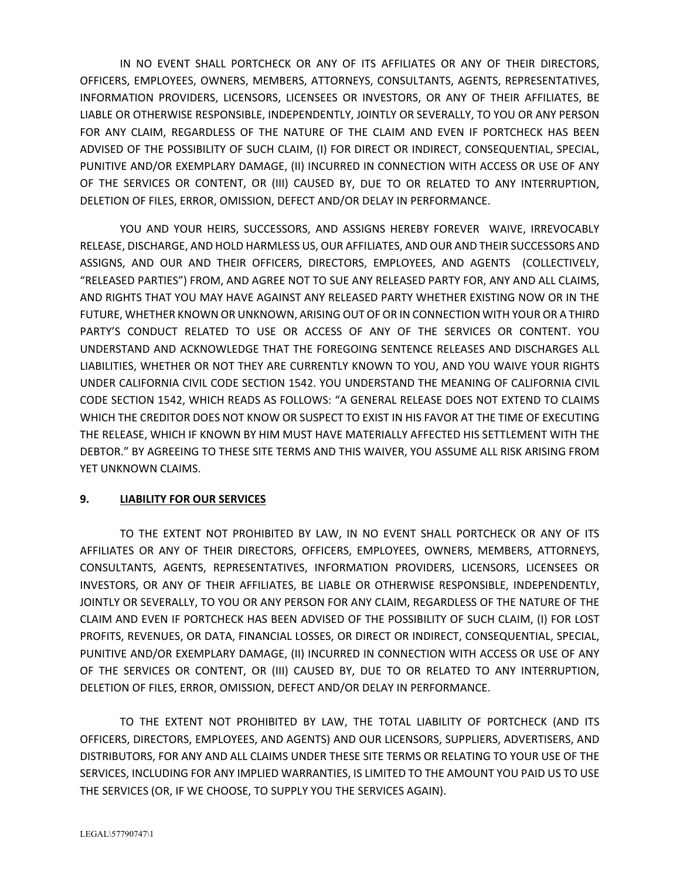IN NO EVENT SHALL PORTCHECK OR ANY OF ITS AFFILIATES OR ANY OF THEIR DIRECTORS, OFFICERS, EMPLOYEES, OWNERS, MEMBERS, ATTORNEYS, CONSULTANTS, AGENTS, REPRESENTATIVES, INFORMATION PROVIDERS, LICENSORS, LICENSEES OR INVESTORS, OR ANY OF THEIR AFFILIATES, BE LIABLE OR OTHERWISE RESPONSIBLE, INDEPENDENTLY, JOINTLY OR SEVERALLY, TO YOU OR ANY PERSON FOR ANY CLAIM, REGARDLESS OF THE NATURE OF THE CLAIM AND EVEN IF PORTCHECK HAS BEEN ADVISED OF THE POSSIBILITY OF SUCH CLAIM, (I) FOR DIRECT OR INDIRECT, CONSEQUENTIAL, SPECIAL, PUNITIVE AND/OR EXEMPLARY DAMAGE, (II) INCURRED IN CONNECTION WITH ACCESS OR USE OF ANY OF THE SERVICES OR CONTENT, OR (III) CAUSED BY, DUE TO OR RELATED TO ANY INTERRUPTION, DELETION OF FILES, ERROR, OMISSION, DEFECT AND/OR DELAY IN PERFORMANCE.

YOU AND YOUR HEIRS, SUCCESSORS, AND ASSIGNS HEREBY FOREVER WAIVE, IRREVOCABLY RELEASE, DISCHARGE, AND HOLD HARMLESS US, OUR AFFILIATES, AND OUR AND THEIR SUCCESSORS AND ASSIGNS, AND OUR AND THEIR OFFICERS, DIRECTORS, EMPLOYEES, AND AGENTS (COLLECTIVELY, "RELEASED PARTIES") FROM, AND AGREE NOT TO SUE ANY RELEASED PARTY FOR, ANY AND ALL CLAIMS, AND RIGHTS THAT YOU MAY HAVE AGAINST ANY RELEASED PARTY WHETHER EXISTING NOW OR IN THE FUTURE, WHETHER KNOWN OR UNKNOWN, ARISING OUT OF OR IN CONNECTION WITH YOUR OR A THIRD PARTY'S CONDUCT RELATED TO USE OR ACCESS OF ANY OF THE SERVICES OR CONTENT. YOU UNDERSTAND AND ACKNOWLEDGE THAT THE FOREGOING SENTENCE RELEASES AND DISCHARGES ALL LIABILITIES, WHETHER OR NOT THEY ARE CURRENTLY KNOWN TO YOU, AND YOU WAIVE YOUR RIGHTS UNDER CALIFORNIA CIVIL CODE SECTION 1542. YOU UNDERSTAND THE MEANING OF CALIFORNIA CIVIL CODE SECTION 1542, WHICH READS AS FOLLOWS: "A GENERAL RELEASE DOES NOT EXTEND TO CLAIMS WHICH THE CREDITOR DOES NOT KNOW OR SUSPECT TO EXIST IN HIS FAVOR AT THE TIME OF EXECUTING THE RELEASE, WHICH IF KNOWN BY HIM MUST HAVE MATERIALLY AFFECTED HIS SETTLEMENT WITH THE DEBTOR." BY AGREEING TO THESE SITE TERMS AND THIS WAIVER, YOU ASSUME ALL RISK ARISING FROM YET UNKNOWN CLAIMS.

# **9. LIABILITY FOR OUR SERVICES**

TO THE EXTENT NOT PROHIBITED BY LAW, IN NO EVENT SHALL PORTCHECK OR ANY OF ITS AFFILIATES OR ANY OF THEIR DIRECTORS, OFFICERS, EMPLOYEES, OWNERS, MEMBERS, ATTORNEYS, CONSULTANTS, AGENTS, REPRESENTATIVES, INFORMATION PROVIDERS, LICENSORS, LICENSEES OR INVESTORS, OR ANY OF THEIR AFFILIATES, BE LIABLE OR OTHERWISE RESPONSIBLE, INDEPENDENTLY, JOINTLY OR SEVERALLY, TO YOU OR ANY PERSON FOR ANY CLAIM, REGARDLESS OF THE NATURE OF THE CLAIM AND EVEN IF PORTCHECK HAS BEEN ADVISED OF THE POSSIBILITY OF SUCH CLAIM, (I) FOR LOST PROFITS, REVENUES, OR DATA, FINANCIAL LOSSES, OR DIRECT OR INDIRECT, CONSEQUENTIAL, SPECIAL, PUNITIVE AND/OR EXEMPLARY DAMAGE, (II) INCURRED IN CONNECTION WITH ACCESS OR USE OF ANY OF THE SERVICES OR CONTENT, OR (III) CAUSED BY, DUE TO OR RELATED TO ANY INTERRUPTION, DELETION OF FILES, ERROR, OMISSION, DEFECT AND/OR DELAY IN PERFORMANCE.

TO THE EXTENT NOT PROHIBITED BY LAW, THE TOTAL LIABILITY OF PORTCHECK (AND ITS OFFICERS, DIRECTORS, EMPLOYEES, AND AGENTS) AND OUR LICENSORS, SUPPLIERS, ADVERTISERS, AND DISTRIBUTORS, FOR ANY AND ALL CLAIMS UNDER THESE SITE TERMS OR RELATING TO YOUR USE OF THE SERVICES, INCLUDING FOR ANY IMPLIED WARRANTIES, IS LIMITED TO THE AMOUNT YOU PAID US TO USE THE SERVICES (OR, IF WE CHOOSE, TO SUPPLY YOU THE SERVICES AGAIN).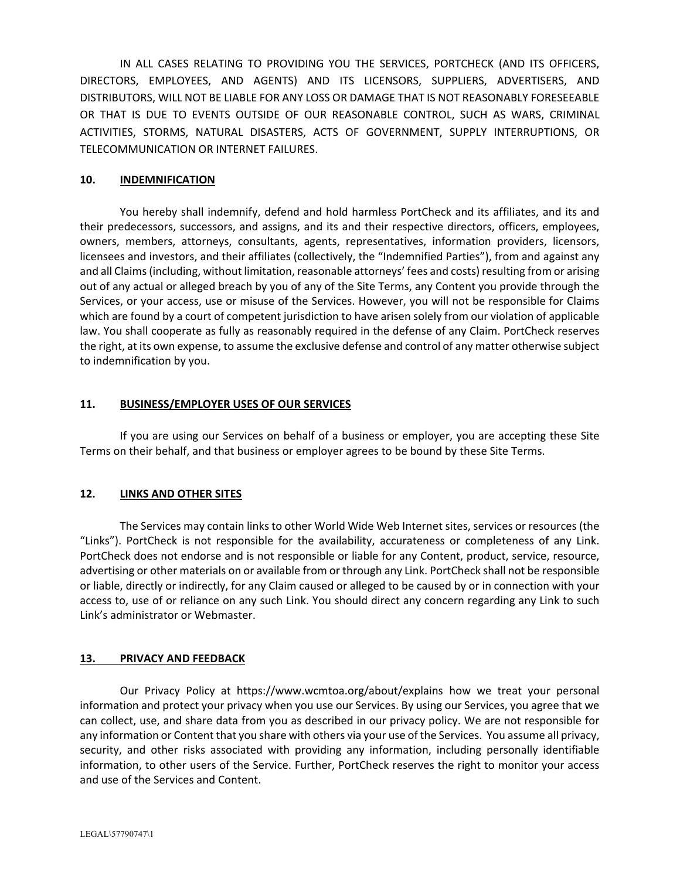IN ALL CASES RELATING TO PROVIDING YOU THE SERVICES, PORTCHECK (AND ITS OFFICERS, DIRECTORS, EMPLOYEES, AND AGENTS) AND ITS LICENSORS, SUPPLIERS, ADVERTISERS, AND DISTRIBUTORS, WILL NOT BE LIABLE FOR ANY LOSS OR DAMAGE THAT IS NOT REASONABLY FORESEEABLE OR THAT IS DUE TO EVENTS OUTSIDE OF OUR REASONABLE CONTROL, SUCH AS WARS, CRIMINAL ACTIVITIES, STORMS, NATURAL DISASTERS, ACTS OF GOVERNMENT, SUPPLY INTERRUPTIONS, OR TELECOMMUNICATION OR INTERNET FAILURES.

#### **10. INDEMNIFICATION**

You hereby shall indemnify, defend and hold harmless PortCheck and its affiliates, and its and their predecessors, successors, and assigns, and its and their respective directors, officers, employees, owners, members, attorneys, consultants, agents, representatives, information providers, licensors, licensees and investors, and their affiliates (collectively, the "Indemnified Parties"), from and against any and all Claims(including, without limitation, reasonable attorneys' fees and costs)resulting from or arising out of any actual or alleged breach by you of any of the Site Terms, any Content you provide through the Services, or your access, use or misuse of the Services. However, you will not be responsible for Claims which are found by a court of competent jurisdiction to have arisen solely from our violation of applicable law. You shall cooperate as fully as reasonably required in the defense of any Claim. PortCheck reserves the right, at its own expense, to assume the exclusive defense and control of any matter otherwise subject to indemnification by you.

#### **11. BUSINESS/EMPLOYER USES OF OUR SERVICES**

If you are using our Services on behalf of a business or employer, you are accepting these Site Terms on their behalf, and that business or employer agrees to be bound by these Site Terms.

## **12. LINKS AND OTHER SITES**

The Services may contain links to other World Wide Web Internet sites, services or resources (the "Links"). PortCheck is not responsible for the availability, accurateness or completeness of any Link. PortCheck does not endorse and is not responsible or liable for any Content, product, service, resource, advertising or other materials on or available from or through any Link. PortCheck shall not be responsible or liable, directly or indirectly, for any Claim caused or alleged to be caused by or in connection with your access to, use of or reliance on any such Link. You should direct any concern regarding any Link to such Link's administrator or Webmaster.

### **13. PRIVACY AND FEEDBACK**

Our Privacy Policy at https://www.wcmtoa.org/about/explains how we treat your personal information and protect your privacy when you use our Services. By using our Services, you agree that we can collect, use, and share data from you as described in our privacy policy. We are not responsible for any information or Content that you share with others via your use of the Services. You assume all privacy, security, and other risks associated with providing any information, including personally identifiable information, to other users of the Service. Further, PortCheck reserves the right to monitor your access and use of the Services and Content.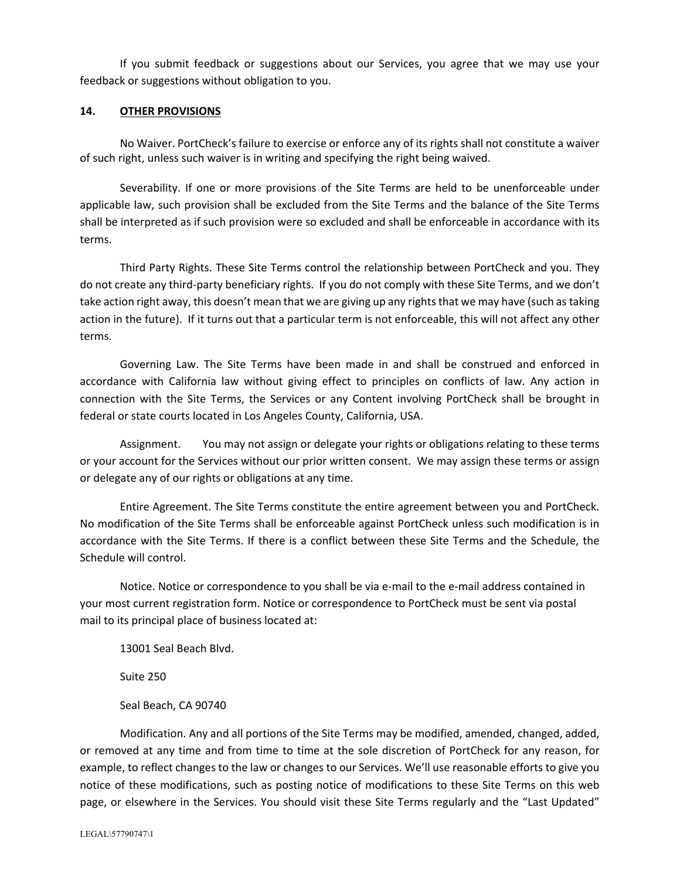If you submit feedback or suggestions about our Services, you agree that we may use your feedback or suggestions without obligation to you.

#### **14. OTHER PROVISIONS**

No Waiver. PortCheck's failure to exercise or enforce any of its rights shall not constitute a waiver of such right, unless such waiver is in writing and specifying the right being waived.

Severability. If one or more provisions of the Site Terms are held to be unenforceable under applicable law, such provision shall be excluded from the Site Terms and the balance of the Site Terms shall be interpreted as if such provision were so excluded and shall be enforceable in accordance with its terms.

Third Party Rights. These Site Terms control the relationship between PortCheck and you. They do not create any third‐party beneficiary rights. If you do not comply with these Site Terms, and we don't take action right away, this doesn't mean that we are giving up any rights that we may have (such as taking action in the future). If it turns out that a particular term is not enforceable, this will not affect any other terms.

Governing Law. The Site Terms have been made in and shall be construed and enforced in accordance with California law without giving effect to principles on conflicts of law. Any action in connection with the Site Terms, the Services or any Content involving PortCheck shall be brought in federal or state courts located in Los Angeles County, California, USA.

Assignment. You may not assign or delegate your rights or obligations relating to these terms or your account for the Services without our prior written consent. We may assign these terms or assign or delegate any of our rights or obligations at any time.

Entire Agreement. The Site Terms constitute the entire agreement between you and PortCheck. No modification of the Site Terms shall be enforceable against PortCheck unless such modification is in accordance with the Site Terms. If there is a conflict between these Site Terms and the Schedule, the Schedule will control.

Notice. Notice or correspondence to you shall be via e‐mail to the e‐mail address contained in your most current registration form. Notice or correspondence to PortCheck must be sent via postal mail to its principal place of business located at:

13001 Seal Beach Blvd.

Suite 250

Seal Beach, CA 90740

Modification. Any and all portions of the Site Terms may be modified, amended, changed, added, or removed at any time and from time to time at the sole discretion of PortCheck for any reason, for example, to reflect changes to the law or changes to our Services. We'll use reasonable efforts to give you notice of these modifications, such as posting notice of modifications to these Site Terms on this web page, or elsewhere in the Services. You should visit these Site Terms regularly and the "Last Updated"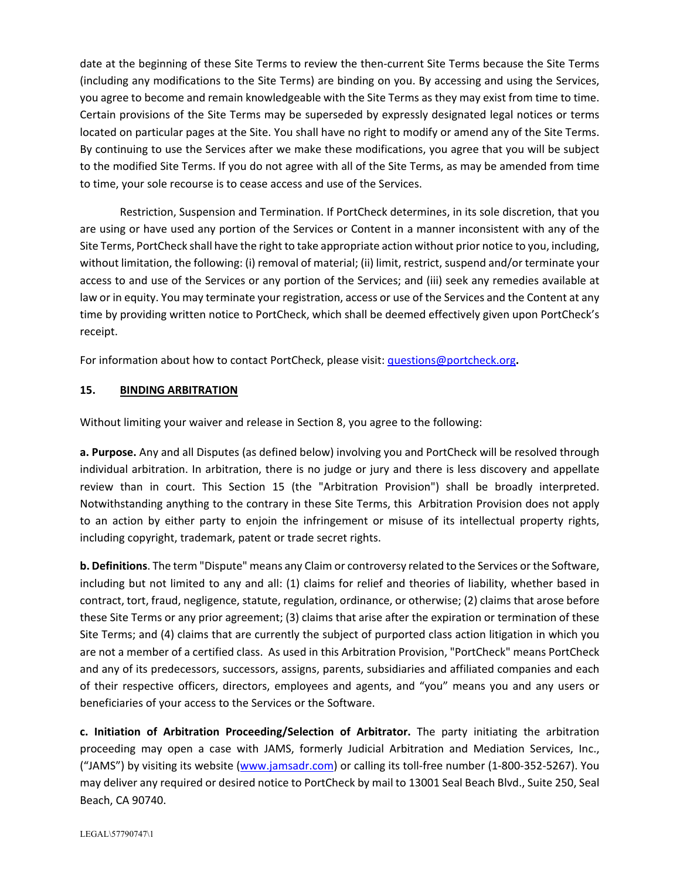date at the beginning of these Site Terms to review the then-current Site Terms because the Site Terms (including any modifications to the Site Terms) are binding on you. By accessing and using the Services, you agree to become and remain knowledgeable with the Site Terms as they may exist from time to time. Certain provisions of the Site Terms may be superseded by expressly designated legal notices or terms located on particular pages at the Site. You shall have no right to modify or amend any of the Site Terms. By continuing to use the Services after we make these modifications, you agree that you will be subject to the modified Site Terms. If you do not agree with all of the Site Terms, as may be amended from time to time, your sole recourse is to cease access and use of the Services.

Restriction, Suspension and Termination. If PortCheck determines, in its sole discretion, that you are using or have used any portion of the Services or Content in a manner inconsistent with any of the Site Terms, PortCheck shall have the right to take appropriate action without prior notice to you, including, without limitation, the following: (i) removal of material; (ii) limit, restrict, suspend and/or terminate your access to and use of the Services or any portion of the Services; and (iii) seek any remedies available at law or in equity. You may terminate your registration, access or use of the Services and the Content at any time by providing written notice to PortCheck, which shall be deemed effectively given upon PortCheck's receipt.

For information about how to contact PortCheck, please visit: questions@portcheck.org**.**

## **15. BINDING ARBITRATION**

Without limiting your waiver and release in Section 8, you agree to the following:

**a. Purpose.** Any and all Disputes (as defined below) involving you and PortCheck will be resolved through individual arbitration. In arbitration, there is no judge or jury and there is less discovery and appellate review than in court. This Section 15 (the "Arbitration Provision") shall be broadly interpreted. Notwithstanding anything to the contrary in these Site Terms, this Arbitration Provision does not apply to an action by either party to enjoin the infringement or misuse of its intellectual property rights, including copyright, trademark, patent or trade secret rights.

**b. Definitions**. The term "Dispute" means any Claim or controversy related to the Services or the Software, including but not limited to any and all: (1) claims for relief and theories of liability, whether based in contract, tort, fraud, negligence, statute, regulation, ordinance, or otherwise; (2) claims that arose before these Site Terms or any prior agreement; (3) claims that arise after the expiration or termination of these Site Terms; and (4) claims that are currently the subject of purported class action litigation in which you are not a member of a certified class. As used in this Arbitration Provision, "PortCheck" means PortCheck and any of its predecessors, successors, assigns, parents, subsidiaries and affiliated companies and each of their respective officers, directors, employees and agents, and "you" means you and any users or beneficiaries of your access to the Services or the Software.

**c. Initiation of Arbitration Proceeding/Selection of Arbitrator.** The party initiating the arbitration proceeding may open a case with JAMS, formerly Judicial Arbitration and Mediation Services, Inc., ("JAMS") by visiting its website (www.jamsadr.com) or calling its toll‐free number (1‐800‐352‐5267). You may deliver any required or desired notice to PortCheck by mail to 13001 Seal Beach Blvd., Suite 250, Seal Beach, CA 90740.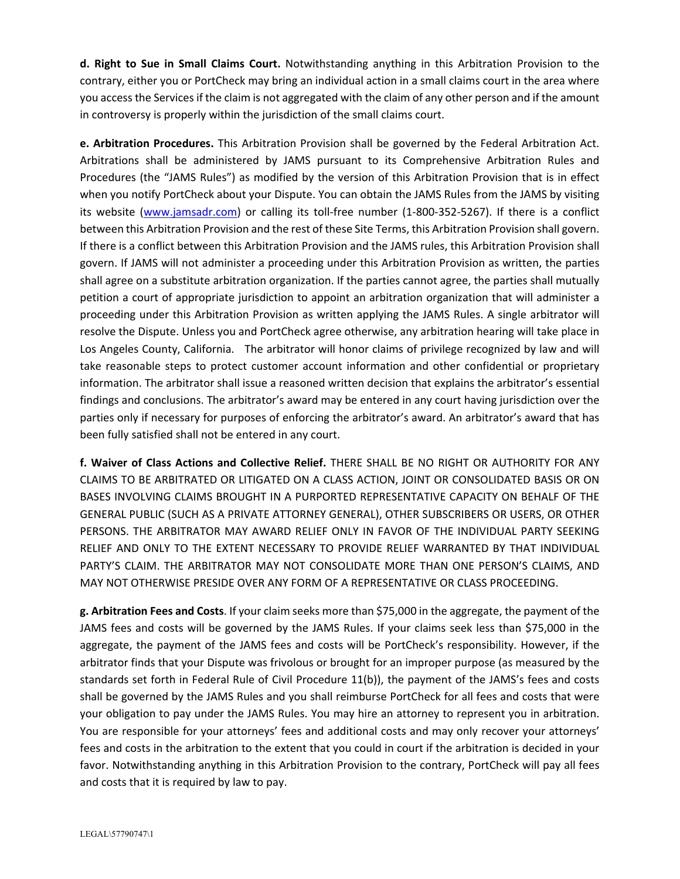**d. Right to Sue in Small Claims Court.** Notwithstanding anything in this Arbitration Provision to the contrary, either you or PortCheck may bring an individual action in a small claims court in the area where you accessthe Servicesif the claim is not aggregated with the claim of any other person and if the amount in controversy is properly within the jurisdiction of the small claims court.

**e. Arbitration Procedures.** This Arbitration Provision shall be governed by the Federal Arbitration Act. Arbitrations shall be administered by JAMS pursuant to its Comprehensive Arbitration Rules and Procedures (the "JAMS Rules") as modified by the version of this Arbitration Provision that is in effect when you notify PortCheck about your Dispute. You can obtain the JAMS Rules from the JAMS by visiting its website (www.jamsadr.com) or calling its toll‐free number (1‐800‐352‐5267). If there is a conflict between this Arbitration Provision and the rest of these Site Terms, this Arbitration Provision shall govern. If there is a conflict between this Arbitration Provision and the JAMS rules, this Arbitration Provision shall govern. If JAMS will not administer a proceeding under this Arbitration Provision as written, the parties shall agree on a substitute arbitration organization. If the parties cannot agree, the parties shall mutually petition a court of appropriate jurisdiction to appoint an arbitration organization that will administer a proceeding under this Arbitration Provision as written applying the JAMS Rules. A single arbitrator will resolve the Dispute. Unless you and PortCheck agree otherwise, any arbitration hearing will take place in Los Angeles County, California. The arbitrator will honor claims of privilege recognized by law and will take reasonable steps to protect customer account information and other confidential or proprietary information. The arbitrator shall issue a reasoned written decision that explains the arbitrator's essential findings and conclusions. The arbitrator's award may be entered in any court having jurisdiction over the parties only if necessary for purposes of enforcing the arbitrator's award. An arbitrator's award that has been fully satisfied shall not be entered in any court.

**f. Waiver of Class Actions and Collective Relief.** THERE SHALL BE NO RIGHT OR AUTHORITY FOR ANY CLAIMS TO BE ARBITRATED OR LITIGATED ON A CLASS ACTION, JOINT OR CONSOLIDATED BASIS OR ON BASES INVOLVING CLAIMS BROUGHT IN A PURPORTED REPRESENTATIVE CAPACITY ON BEHALF OF THE GENERAL PUBLIC (SUCH AS A PRIVATE ATTORNEY GENERAL), OTHER SUBSCRIBERS OR USERS, OR OTHER PERSONS. THE ARBITRATOR MAY AWARD RELIEF ONLY IN FAVOR OF THE INDIVIDUAL PARTY SEEKING RELIEF AND ONLY TO THE EXTENT NECESSARY TO PROVIDE RELIEF WARRANTED BY THAT INDIVIDUAL PARTY'S CLAIM. THE ARBITRATOR MAY NOT CONSOLIDATE MORE THAN ONE PERSON'S CLAIMS, AND MAY NOT OTHERWISE PRESIDE OVER ANY FORM OF A REPRESENTATIVE OR CLASS PROCEEDING.

**g. Arbitration Fees and Costs**. If your claim seeks more than \$75,000 in the aggregate, the payment of the JAMS fees and costs will be governed by the JAMS Rules. If your claims seek less than \$75,000 in the aggregate, the payment of the JAMS fees and costs will be PortCheck's responsibility. However, if the arbitrator finds that your Dispute was frivolous or brought for an improper purpose (as measured by the standards set forth in Federal Rule of Civil Procedure 11(b)), the payment of the JAMS's fees and costs shall be governed by the JAMS Rules and you shall reimburse PortCheck for all fees and costs that were your obligation to pay under the JAMS Rules. You may hire an attorney to represent you in arbitration. You are responsible for your attorneys' fees and additional costs and may only recover your attorneys' fees and costs in the arbitration to the extent that you could in court if the arbitration is decided in your favor. Notwithstanding anything in this Arbitration Provision to the contrary, PortCheck will pay all fees and costs that it is required by law to pay.